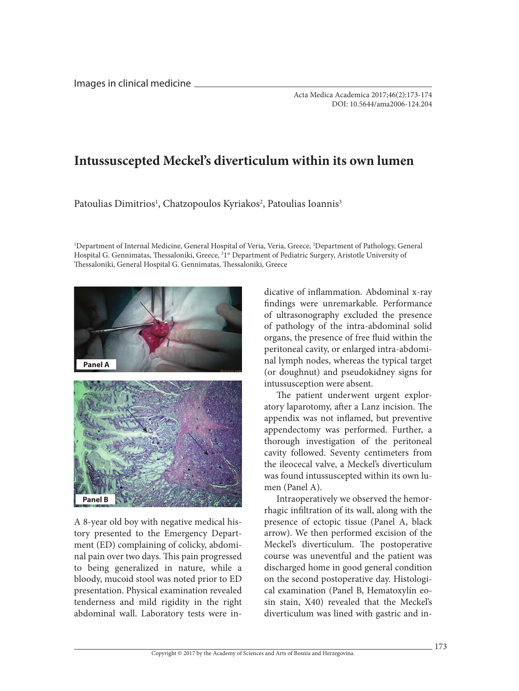Images in clinical medicine

## **Intussuscepted Meckel's diverticulum within its own lumen**

Patoulias Dimitrios<sup>1</sup>, Chatzopoulos Kyriakos<sup>2</sup>, Patoulias Ioannis<sup>3</sup>

1 Department of Internal Medicine, General Hospital of Veria, Veria, Greece, 2 Department of Pathology, General Hospital G. Gennimatas, Thessaloniki, Greece, <sup>31st</sup> Department of Pediatric Surgery, Aristotle University of Thessaloniki, General Hospital G. Gennimatas, Thessaloniki, Greece



A 8-year old boy with negative medical history presented to the Emergency Department (ED) complaining of colicky, abdominal pain over two days. This pain progressed to being generalized in nature, while a bloody, mucoid stool was noted prior to ED presentation. Physical examination revealed tenderness and mild rigidity in the right abdominal wall. Laboratory tests were in-

dicative of inflammation. Abdominal x-ray findings were unremarkable. Performance of ultrasonography excluded the presence of pathology of the intra-abdominal solid organs, the presence of free fluid within the peritoneal cavity, or enlarged intra-abdominal lymph nodes, whereas the typical target (or doughnut) and pseudokidney signs for intussusception were absent.

The patient underwent urgent exploratory laparotomy, after a Lanz incision. The appendix was not inflamed, but preventive appendectomy was performed. Further, a thorough investigation of the peritoneal cavity followed. Seventy centimeters from the ileocecal valve, a Meckel's diverticulum was found intussuscepted within its own lumen (Panel A).

Intraoperatively we observed the hemorrhagic infiltration of its wall, along with the presence of ectopic tissue (Panel A, black arrow). We then performed excision of the Meckel's diverticulum. The postoperative course was uneventful and the patient was discharged home in good general condition on the second postoperative day. Histological examination (Panel B, Hematoxylin eosin stain, X40) revealed that the Meckel's diverticulum was lined with gastric and in